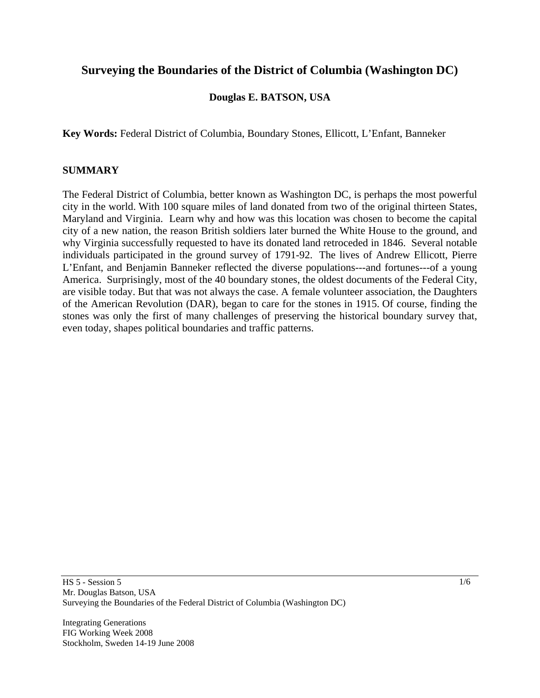# **Surveying the Boundaries of the District of Columbia (Washington DC)**

## **Douglas E. BATSON, USA**

**Key Words:** Federal District of Columbia, Boundary Stones, Ellicott, L'Enfant, Banneker

#### **SUMMARY**

The Federal District of Columbia, better known as Washington DC, is perhaps the most powerful city in the world. With 100 square miles of land donated from two of the original thirteen States, Maryland and Virginia. Learn why and how was this location was chosen to become the capital city of a new nation, the reason British soldiers later burned the White House to the ground, and why Virginia successfully requested to have its donated land retroceded in 1846. Several notable individuals participated in the ground survey of 1791-92. The lives of Andrew Ellicott, Pierre L'Enfant, and Benjamin Banneker reflected the diverse populations---and fortunes---of a young America. Surprisingly, most of the 40 boundary stones, the oldest documents of the Federal City, are visible today. But that was not always the case. A female volunteer association, the Daughters of the American Revolution (DAR), began to care for the stones in 1915. Of course, finding the stones was only the first of many challenges of preserving the historical boundary survey that, even today, shapes political boundaries and traffic patterns.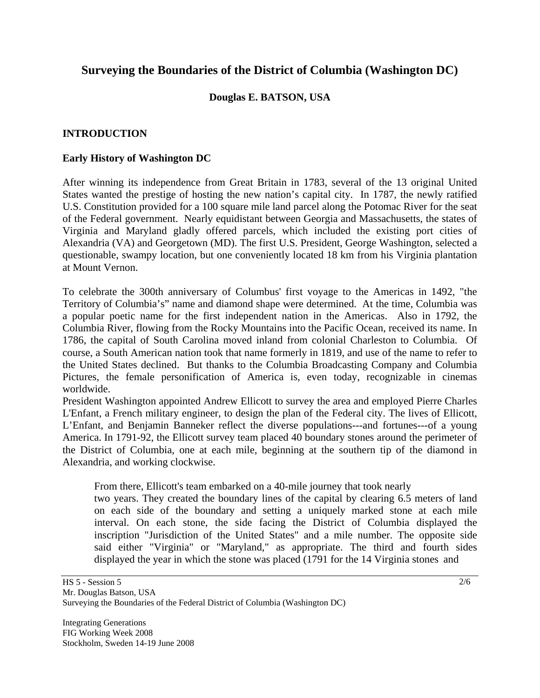# **Surveying the Boundaries of the District of Columbia (Washington DC)**

## **Douglas E. BATSON, USA**

## **INTRODUCTION**

#### **Early History of Washington DC**

After winning its independence from Great Britain in 1783, several of the 13 original United States wanted the prestige of hosting the new nation's capital city. In 1787, the newly ratified U.S. Constitution provided for a 100 square mile land parcel along the Potomac River for the seat of the Federal government. Nearly equidistant between Georgia and Massachusetts, the states of Virginia and Maryland gladly offered parcels, which included the existing port cities of Alexandria (VA) and Georgetown (MD). The first U.S. President, George Washington, selected a questionable, swampy location, but one conveniently located 18 km from his Virginia plantation at Mount Vernon.

To celebrate the 300th [anniversary](http://en.wikipedia.org/wiki/Anniversary) of Columbus' first voyage to the [Americas](http://en.wikipedia.org/wiki/Americas) in [1492](http://en.wikipedia.org/wiki/1492), "the [Territory](http://en.wikipedia.org/wiki/Territory_%28country_subdivision%29) of Columbia's" name and diamond shape were determined. At the time, Columbia was a popular poetic name for the first independent nation in the Americas. Also in 1792, the [Columbia River](http://en.wikipedia.org/wiki/Columbia_River), flowing from the Rocky Mountains into the Pacific Ocean, received its name. In [1786,](http://en.wikipedia.org/wiki/1786) the capital of [South Carolina](http://en.wikipedia.org/wiki/South_Carolina) moved inland from colonial Charleston to Columbia. Of course, a South American nation took that name formerly in 1819, and use of the name to refer to the United States declined. But thanks to the Columbia Broadcasting Company and Columbia Pictures, the female personification of America is, even today, recognizable in cinemas worldwide.

President Washington appointed Andrew Ellicott to survey the area and employed Pierre Charles L'Enfant, a French military engineer, to design the plan of the Federal city. The lives of Ellicott, L'Enfant, and Benjamin Banneker reflect the diverse populations---and fortunes---of a young America. In 1791-92, the Ellicott survey team placed 40 boundary stones around the perimeter of the District of Columbia, one at each mile, beginning at the southern tip of the diamond in Alexandria, and working clockwise.

From there, Ellicott's team embarked on a 40-mile journey that took nearly

 two years. They created the boundary lines of the capital by clearing 6.5 meters of land on each side of the boundary and setting a uniquely marked stone at each mile interval. On each stone, the side facing the District of Columbia displayed the inscription "Jurisdiction of the United States" and a mile number. The opposite side said either "Virginia" or "Maryland," as appropriate. The third and fourth sides displayed the year in which the stone was placed (1791 for the 14 Virginia stones and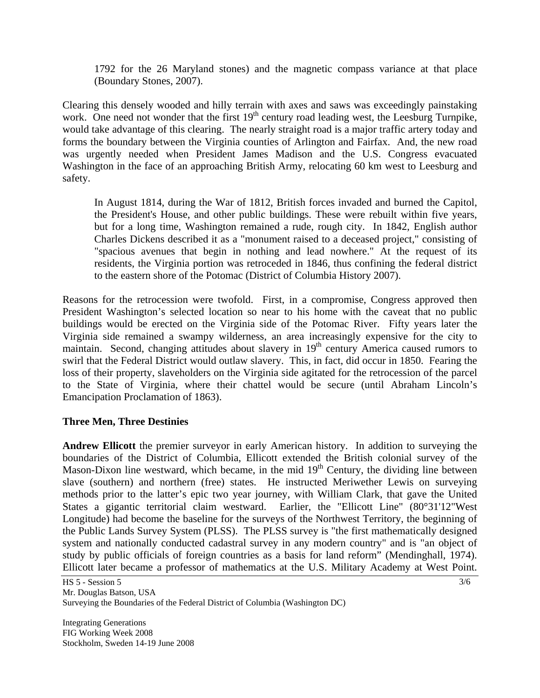1792 for the 26 Maryland stones) and the magnetic compass variance at that place (Boundary Stones, 2007).

Clearing this densely wooded and hilly terrain with axes and saws was exceedingly painstaking work. One need not wonder that the first  $19<sup>th</sup>$  century road leading west, the Leesburg Turnpike, would take advantage of this clearing. The nearly straight road is a major traffic artery today and forms the boundary between the Virginia counties of Arlington and Fairfax. And, the new road was urgently needed when President James Madison and the U.S. Congress evacuated Washington in the face of an approaching British Army, relocating 60 km west to Leesburg and safety.

 In August 1814, during the War of 1812, British forces invaded and burned the Capitol, the President's House, and other public buildings. These were rebuilt within five years, but for a long time, Washington remained a rude, rough city. In 1842, English author Charles Dickens described it as a "monument raised to a deceased project," consisting of "spacious avenues that begin in nothing and lead nowhere." At the request of its residents, the Virginia portion was retroceded in 1846, thus confining the federal district to the eastern shore of the Potomac [\(District of](http://www.city-data.com/states/District-of-) Columbia History 2007).

Reasons for the retrocession were twofold. First, in a compromise, Congress approved then President Washington's selected location so near to his home with the caveat that no public buildings would be erected on the Virginia side of the Potomac River. Fifty years later the Virginia side remained a swampy wilderness, an area increasingly expensive for the city to maintain. Second, changing attitudes about slavery in  $19<sup>th</sup>$  century America caused rumors to swirl that the Federal District would outlaw slavery. This, in fact, did occur in 1850. Fearing the loss of their property, slaveholders on the Virginia side agitated for the retrocession of the parcel to the State of Virginia, where their chattel would be secure (until Abraham Lincoln's Emancipation Proclamation of 1863).

## **Three Men, Three Destinies**

**Andrew Ellicott** the premier [surveyor](http://en.wikipedia.org/wiki/Surveyor_%28surveying%29) in early American history. In addition to surveying the boundaries of the [District of Columbia,](http://en.wikipedia.org/wiki/Washington%2C_D.C.) Ellicott extended the British colonial survey of the [Mason-Dixon line](http://en.wikipedia.org/wiki/Mason-Dixon_line) westward, which became, in the mid  $19<sup>th</sup>$  Century, the dividing line between slave (southern) and northern (free) states. He instructed [Meriwether Lewis](http://en.wikipedia.org/wiki/Meriwether_Lewis) on surveying methods prior to the latter's epic two year journey, with William Clark, that gave the United States a gigantic territorial claim westward. Earlier, the "Ellicott Line" (80°31'12"West Longitude) had become the baseline for the surveys of the [Northwest Territory,](http://en.wikipedia.org/wiki/Northwest_Territory) the beginning of the Public Lands Survey System (PLSS). The PLSS survey is "the first mathematically designed system and nationally conducted [cadastral](http://en.wikipedia.org/wiki/Cadastre) survey in any modern country" and is "an object of study by public officials of foreign countries as a basis for land reform" (Mendinghall, 1974). Ellicott later became a professor of mathematics at the U.S. Military Academy at [West Point](http://en.wikipedia.org/wiki/United_States_Military_Academy).

HS 5 - Session 5 Mr. Douglas Batson, USA

Surveying the Boundaries of the Federal District of Columbia (Washington DC)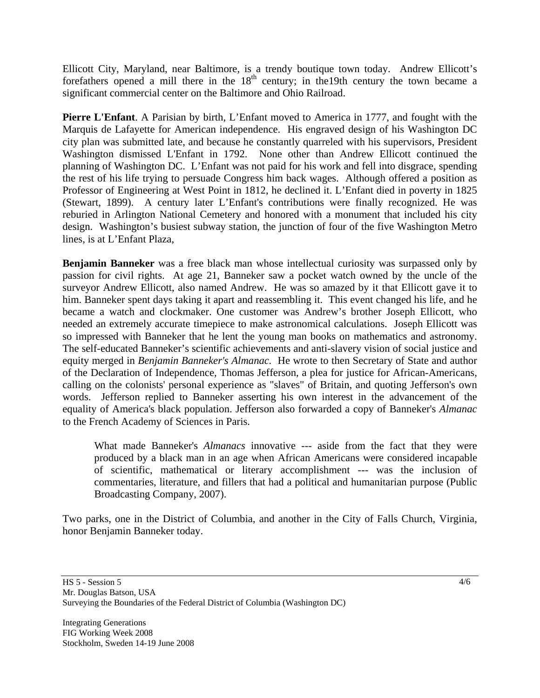Ellicott City, Maryland, near Baltimore, is a trendy boutique town today. Andrew Ellicott's forefathers opened a mill there in the  $18<sup>th</sup>$  century; in the 19th century the town became a significant commercial center on the Baltimore and Ohio Railroad.

**Pierre L'Enfant**. A Parisian by birth, L'Enfant moved to [America in 1777, and fought with the](http://en.wikipedia.org/wiki/Thirteen_Colonies)  [Marquis de Lafayette for American independence.](http://en.wikipedia.org/wiki/Thirteen_Colonies) His engraved design of his Washington DC city plan was submitted late, and because he constantly quarreled with his supervisors, President [Washington](http://en.wikipedia.org/wiki/George_Washington) dismissed L'Enfant in [1792.](http://en.wikipedia.org/wiki/1792) None other than Andrew Ellicott continued the planning of Washington DC. L'Enfant was not paid for his work and fell into disgrace, spending the rest of his life trying to persuade Congress him back wages. Although offered a position as [Professor](http://en.wikipedia.org/wiki/Professor) of Engineering at [West Point](http://en.wikipedia.org/wiki/United_States_Military_Academy) in 1812, he declined it. L'Enfant died in poverty in 1825 (Stewart, 1899). A century later L'Enfant's contributions were finally recognized. He was reburied in [Arlington National Cemetery](http://en.wikipedia.org/wiki/Arlington_National_Cemetery) and honored with a monument that included his city design. Washington's busiest subway station, the junction of four of the five Washington Metro lines, is at L'Enfant Plaza,

**Benjamin Banneker** was a free black man whose intellectual curiosity was surpassed only by passion for civil rights. At age 21, Banneker saw a pocket watch owned by the uncle of the surveyor [Andrew Ellicott,](http://en.wikipedia.org/wiki/Andrew_Ellicott) also named Andrew. He was so amazed by it that Ellicott gave it to him. Banneker spent days taking it apart and reassembling it. This event changed his life, and he became a watch and clockmaker. One customer was Andrew's brother [Joseph Ellicott,](http://en.wikipedia.org/wiki/Joseph_Ellicott) who needed an extremely accurate timepiece to make astronomical calculations. Joseph Ellicott was so impressed with Banneker that he lent the young man books on [mathematics](http://en.wikipedia.org/wiki/Mathematics) and [astronomy](http://en.wikipedia.org/wiki/Astronomy). The self-educated Banneker's scientific achievements and anti-slavery vision of social justice and equity merged in *Benjamin Banneker's Almanac.* He wrote to then [Secretary of State](http://en.wikipedia.org/wiki/Secretary_of_State) and [author](http://en.wikipedia.org/wiki/Author) of the [Declaration of Independence,](http://en.wikipedia.org/wiki/United_States_Declaration_of_Independence) [Thomas Jefferson,](http://en.wikipedia.org/wiki/Thomas_Jefferson) a plea for justice for African-Americans, calling on the colonists' personal experience as "slaves" of [Britain](http://en.wikipedia.org/wiki/Kingdom_of_Great_Britain), and quoting Jefferson's own words. Jefferson replied to Banneker asserting his own interest in the advancement of the equality of America's black population. Jefferson also forwarded a copy of Banneker's *Almanac* to the French Academy of Sciences in Paris.

 What made Banneker's *Almanacs* innovative --- aside from the fact that they were produced by a black man in an age when African Americans were considered incapable of scientific, mathematical or literary accomplishment --- was the inclusion of commentaries, literature, and fillers that had a political and humanitarian purpose (Public Broadcasting Company, 2007).

Two parks, one in the District of Columbia, and another in the City of Falls Church, Virginia, honor Benjamin Banneker today.

HS 5 - Session 5 Mr. Douglas Batson, USA Surveying the Boundaries of the Federal District of Columbia (Washington DC)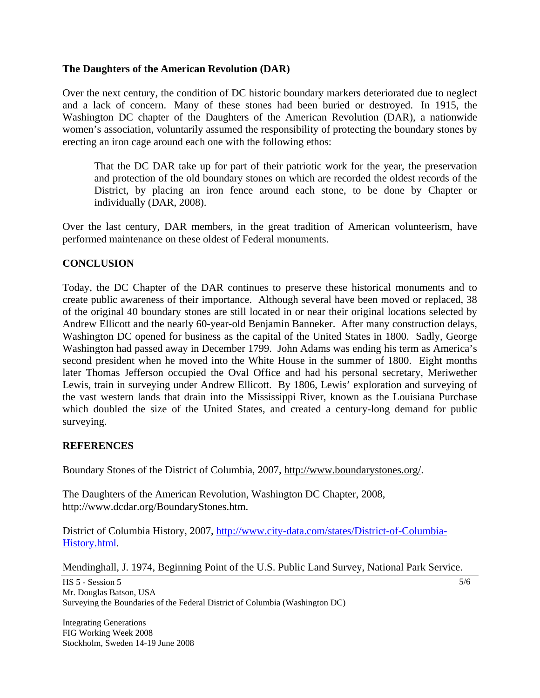### **The Daughters of the American Revolution (DAR)**

Over the next century, the condition of DC historic boundary markers deteriorated due to neglect and a lack of concern. Many of these stones had been buried or destroyed. In 1915, the Washington DC chapter of the Daughters of the American Revolution (DAR), a nationwide women's association, voluntarily assumed the responsibility of protecting the boundary stones by erecting an iron cage around each one with the following ethos:

 That the DC DAR take up for part of their patriotic work for the year, the preservation and protection of the old boundary stones on which are recorded the oldest records of the District, by placing an iron fence around each stone, to be done by Chapter or individually (DAR, 2008).

Over the last century, DAR members, in the great tradition of American volunteerism, have performed maintenance on these oldest of Federal monuments.

### **CONCLUSION**

Today, the DC Chapter of the DAR continues to preserve these historical monuments and to create public awareness of their importance. Although several have been moved or replaced, 38 of the original 40 boundary stones are still located in or near their original locations selected by Andrew Ellicott and the nearly 60-year-old Benjamin Banneker. After many construction delays, Washington DC opened for business as the capital of the United States in 1800. Sadly, George Washington had passed away in December 1799. John Adams was ending his term as America's second president when he moved into the White House in the summer of 1800. Eight months later Thomas Jefferson occupied the Oval Office and had his personal secretary, Meriwether Lewis, train in surveying under Andrew Ellicott. By 1806, Lewis' exploration and surveying of the vast western lands that drain into the Mississippi River, known as the Louisiana Purchase which doubled the size of the United States, and created a century-long demand for public surveying.

#### **REFERENCES**

Boundary Stones of the District of Columbia, 2007, [http://www.boundarystones.org/.](http://www.boundarystones.org/)

The Daughters of the American Revolution, Washington DC Chapter, 2008, http://www.dcdar.org/BoundaryStones.htm.

District of Columbia History, 2007, [http://www.city-data.com/states/District-of-Columbia-](http://www.city-data.com/states/District-of-Columbia-History.html)[History.html.](http://www.city-data.com/states/District-of-Columbia-History.html)

Mendinghall, J. 1974, [Beginning Point of the U.S. Public Land Survey,](http://pdfhost.focus.nps.gov/docs/NHLS/Text/66000606.pdf) National Park Service.

HS 5 - Session 5 Mr. Douglas Batson, USA Surveying the Boundaries of the Federal District of Columbia (Washington DC)